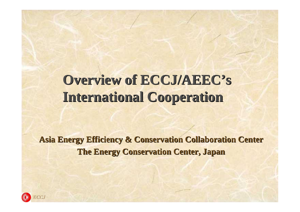# **Overview of ECCJ/AEEC's International Cooperation**

**Asia Energy Efficiency & Conservation Collaboration Center The Energy Conservation Center, Japan**

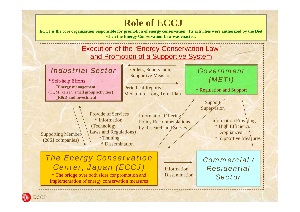### **Role of ECCJ**

ECCJ is the core organization responsible for promotion of energy conservation. Its activities were authorized by the Diet **when the Energy Conservation Law was enacted.**



### *Industrial Sector*

\* Self-help Efforts **Energy management** (TQM, kaizen, small group activities) **R&D and investment**

Orders, Supervision, Supportive Measures

Periodical Reports, Medium-to-Long Term Plan *Government (METI)*

\* Regulation and Support

Support, **Supervision** 

Supporting Member (2861 companies)

Provide of Services \* Information (Technology, Laws and Regulations) \* Training \* Dissemination

Information Offering, Policy Recommendations by Research and Survey

Information Providing \* High Efficiency Appliances \* Supportive Measures

*The Energy Conservation Center, Japan (ECCJ)*

\* The bridge over both sides for promotion and implementation of energy conservation measures Information, **Dissemination**  *Commercial / Residential Sector*



 $C$ <sup> $C$ </sup>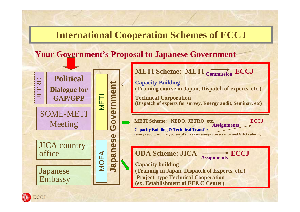### **International Cooperation Schemes of ECCJ**

### **Your Government's Proposal to Japanese Government**





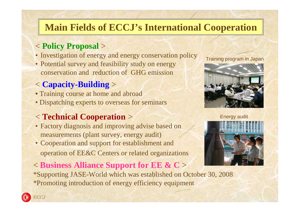# **Main Fields of ECCJ's International Cooperation**

### < **Policy Proposal** >

- Investigation of energy and energy conservation policy
- Potential survey and feasibility study on energy conservation and reduction of GHG emission

## < **Capacity-Building** >

- Training course at home and abroad
- Dispatching experts to overseas for seminars

## < **Technical Cooperation** >

- Factory diagnosis and improving advise based on measurements (plant survey, energy audit)
- Cooperation and support for establishment and operation of EE&C Centers or related organizations

### < **Business Alliance Support for EE & C** >

\*Supporting JASE-World which was established on October 30, 2008 \*Promoting introduction of energy efficiency equipment

#### Training program in Japan



Energy audit



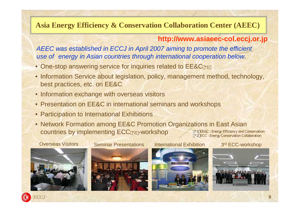### **Asia Energy Efficiency & Conservation Collaboration Center (AEEC)**

#### **http://www.asiaeec-col.eccj.or.jp**

*AEEC was established in ECCJ in April 2007 aiming to promote the efficient use of energy in Asian countries through international cooperation below.*

- One-stop answering service for inquiries related to EE&C \*1
- Information Service about legislation, policy, management method, technology, best practices, etc. on EE&C
- Information exchange with overseas visitors
- Presentation on EE&C in international seminars and workshops
- Participation to International Exhibitions
- \*1 EE&C : Energy Efficiency and Conservation \*2 ECC : Energy Conservation Collaboration • Network Formation among EE&C Promotion Organizations in East Asian countries by implementing ECC \*2 -workshop



**Overseas Visitors Seminar Presentations** 









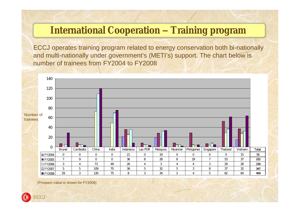# **International Cooperation – Training program**

ECCJ operates training program related to energy conservation both bi-nationally and multi-nationally under government's (METI's) support. The chart below is number of trainees from FY2004 to FY2008



(Prospect value is shown for FY2008)

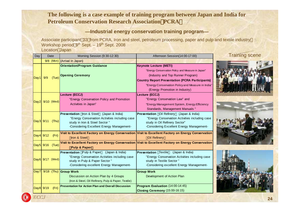#### **The following is a case example of training program between Japan and India for Petroleum Conservation Research Association**(**PCRA**)

#### ―**Industrial energy conservation training program**―

Associate participant 33 from PCRA, Iron and steel, petroleum processing, paper and pulp and textile industry Workshop period 9<sup>th</sup> Sept. – 19<sup>th</sup> Sept. 2008

Location Japan

| Day  | Date                    | Morning Session (9:30-12:30)                                                                                                                                                      | Afternoon Session(14:00-17:00)                                                                                                                                                                                                                                           | <b>Training scene</b> |  |  |  |
|------|-------------------------|-----------------------------------------------------------------------------------------------------------------------------------------------------------------------------------|--------------------------------------------------------------------------------------------------------------------------------------------------------------------------------------------------------------------------------------------------------------------------|-----------------------|--|--|--|
|      |                         | $9/8$ (Mon) (Arrival in Japan)                                                                                                                                                    |                                                                                                                                                                                                                                                                          |                       |  |  |  |
| Day1 | 9/9<br>(Tue)            | <b>Orientation/Program Guidance</b><br><b>Opening Ceremony</b>                                                                                                                    | <b>Keynote Lecture (METI)</b><br>"Energy Conservation Policy and Measure in Japan"<br>(Industry and Top Runner Program)<br><b>Country Report Presentation (PCRA Participants)</b><br>"Energy Conservation Policy and Measure in India"<br>(Energy Promotion in Industry) |                       |  |  |  |
|      | $\vert$ Day2 9/10 (Wed) | Lecture (ECCJ)<br>"Energy Conservation Policy and Promotion<br>Activities in Japan"                                                                                               | Lecture (ECCJ)<br>"Energy Conservation Law" and<br>"Energy Management System, Energy Efficiency<br>Standards, Management Manuals "                                                                                                                                       |                       |  |  |  |
|      | Day 3 9/11<br>(Thu)     | <b>Presentation</b> Iron & Steel (Japan & India)<br>"Energy Conservation Activities including case<br>study in Iron & Steel Sector "<br>-Considering Excellent Energy Management- | <b>Presentation</b> Oil Refinery (Japan & India)<br>"Energy Conservation Activities including case<br>study in Oil Refinery Sector"<br>-Considering Excellent Energy Management-                                                                                         |                       |  |  |  |
|      | $Day4$ 9/12<br>(Fri)    | Iron & Steel                                                                                                                                                                      | Visit to Excellent Factory on Energy Conservation Visit to Excellent Factory on Energy Conservation<br><b>Oil Refinery</b>                                                                                                                                               |                       |  |  |  |
|      | Day5 9/16<br>(Tue)      | <b>Pulp &amp; Paper</b>                                                                                                                                                           | Visit to Excellent Factory on Energy Conservation Visit to Excellent Factory on Energy Conservation                                                                                                                                                                      |                       |  |  |  |
|      | $\vert$ Day6 9/17 (Wed) | <b>Presentation</b> Pulp & Paper (Japan & India)<br>"Energy Conservation Activities including case<br>study in Pulp & Paper Sector"<br>-Considering excellent Energy Management-  | <b>Presentation</b> Textile<br>(Japan & India)<br>"Energy Conservation Activities including case<br>study in Textile Sector"<br>-Considering excellent Energy Management-                                                                                                |                       |  |  |  |
|      |                         | Day7 9/18 (Thu) Group Work<br>Discussion on Action Plan by 4 Groups<br>(Iron & Steel, Oil Refinery, Pulp & Paper, Textile)                                                        | <b>Group Work</b><br>Development of Action Plan                                                                                                                                                                                                                          |                       |  |  |  |
|      | Day8 9/19<br>(Fri)      | <b>Presentation for Action Plan and Overall Discussion</b>                                                                                                                        | Program Evaluation (14:00-14:45)<br>Closing Ceremony (15:00-16:15)                                                                                                                                                                                                       |                       |  |  |  |
| ECCJ |                         |                                                                                                                                                                                   |                                                                                                                                                                                                                                                                          | 24                    |  |  |  |



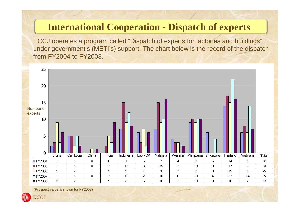# **International Cooperation - Dispatch of experts**

ECCJ operates a program called "Dispatch of experts for factories and buildings" under government's (METI's) support. The chart below is the record of the dispatch from FY2004 to FY2008.



(Prospect value is shown for FY2008)